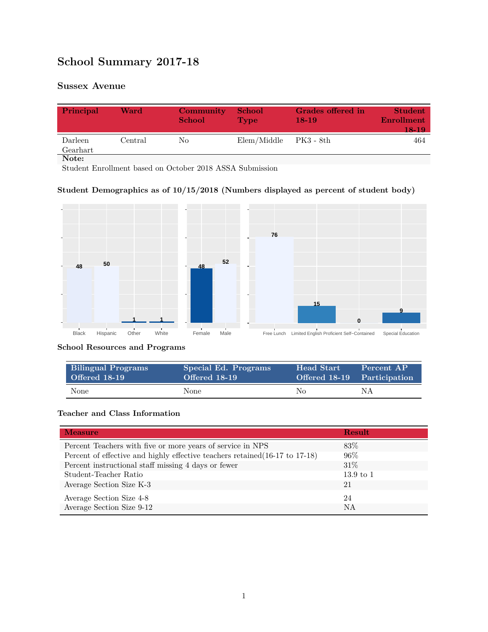# **School Summary 2017-18**

# **Sussex Avenue**

| Principal           | Ward    | Community<br><b>School</b> | <b>School</b><br><b>Type</b> | Grades offered in<br>$18-19$ | <b>Student</b><br>Enrollment<br>18-19 |
|---------------------|---------|----------------------------|------------------------------|------------------------------|---------------------------------------|
| Darleen<br>Gearhart | Central | No                         | Elem/Middle                  | - PK3 - 8th                  | 464                                   |
| Note:               |         |                            |                              |                              |                                       |

Student Enrollment based on October 2018 ASSA Submission

### **Student Demographics as of 10/15/2018 (Numbers displayed as percent of student body)**



#### **School Resources and Programs**

| <b>Bilingual Programs</b> | Special Ed. Programs | <b>Head Start</b>           | Percent AP |
|---------------------------|----------------------|-----------------------------|------------|
| Offered 18-19             | Offered 18-19        | Offered 18-19 Participation |            |
| None                      | None                 | No.                         | ΝA         |

## **Teacher and Class Information**

| <b>Measure</b>                                                               | <b>Result</b>        |
|------------------------------------------------------------------------------|----------------------|
| Percent Teachers with five or more years of service in NPS                   | 83\%                 |
| Percent of effective and highly effective teachers retained (16-17 to 17-18) | 96%                  |
| Percent instructional staff missing 4 days or fewer                          | $31\%$               |
| Student-Teacher Ratio                                                        | $13.9 \text{ to } 1$ |
| Average Section Size K-3                                                     | 21                   |
| Average Section Size 4-8                                                     | 24                   |
| Average Section Size 9-12                                                    | <b>NA</b>            |